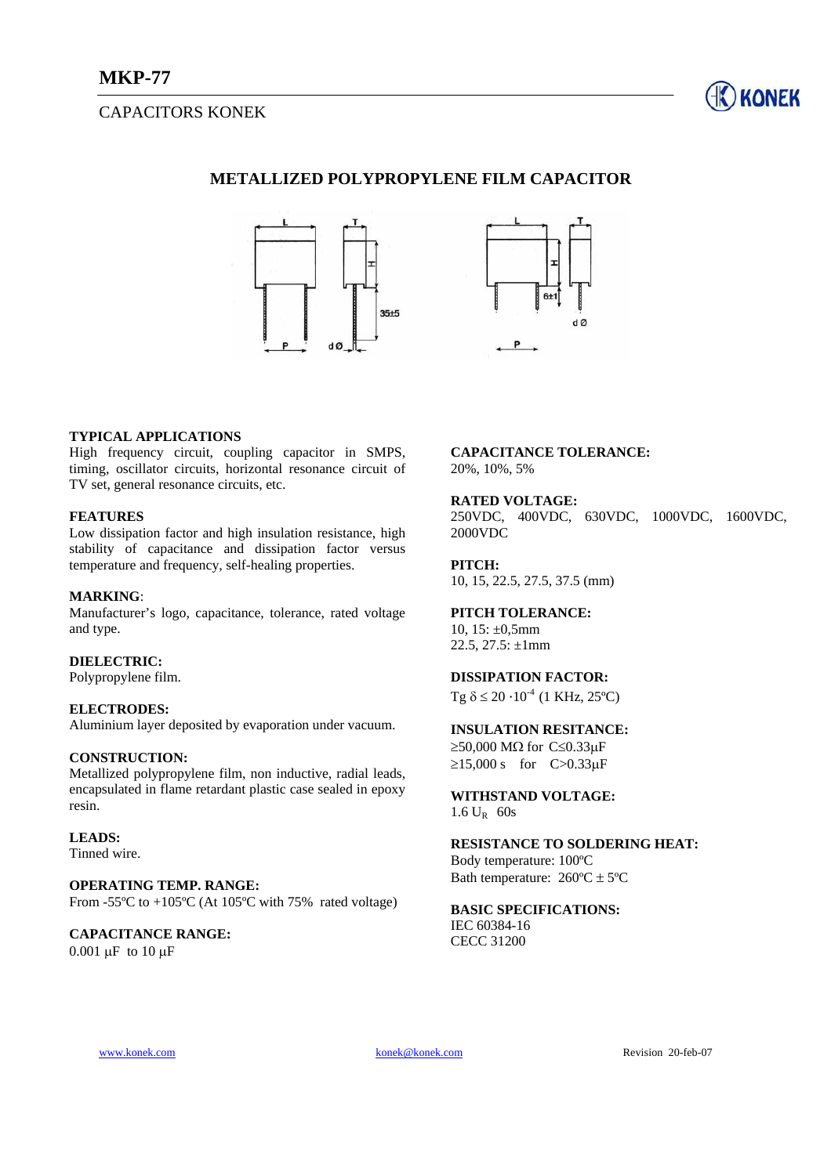# CAPACITORS KONEK



## **METALLIZED POLYPROPYLENE FILM CAPACITOR**



### **TYPICAL APPLICATIONS**

High frequency circuit, coupling capacitor in SMPS, timing, oscillator circuits, horizontal resonance circuit of TV set, general resonance circuits, etc.

### **FEATURES**

Low dissipation factor and high insulation resistance, high stability of capacitance and dissipation factor versus temperature and frequency, self-healing properties.

### **MARKING**:

Manufacturer's logo, capacitance, tolerance, rated voltage and type.

### **DIELECTRIC:**

Polypropylene film.

### **ELECTRODES:**

Aluminium layer deposited by evaporation under vacuum.

## **CONSTRUCTION:**

Metallized polypropylene film, non inductive, radial leads, encapsulated in flame retardant plastic case sealed in epoxy resin.

#### **LEADS:**

Tinned wire.

#### **OPERATING TEMP. RANGE:**  From -55 $^{\circ}$ C to +105 $^{\circ}$ C (At 105 $^{\circ}$ C with 75% rated voltage)

### **CAPACITANCE RANGE:**  0.001 µF to 10 µF

**CAPACITANCE TOLERANCE:**  20%, 10%, 5%

### **RATED VOLTAGE:**

250VDC, 400VDC, 630VDC, 1000VDC, 1600VDC, 2000VDC

# **PITCH:**

10, 15, 22.5, 27.5, 37.5 (mm)

## **PITCH TOLERANCE:**

10,  $15: \pm 0,5$ mm 22.5, 27.5:  $\pm 1$ mm

### **DISSIPATION FACTOR:**

Tg  $\delta \leq 20 \cdot 10^{-4}$  (1 KHz, 25°C)

## **INSULATION RESITANCE:**

 $≥50,000$  MΩ for C≤0.33μF  $≥15,000 \text{ s}$  for C>0.33µF

# **WITHSTAND VOLTAGE:**

1.6 UR 60s

## **RESISTANCE TO SOLDERING HEAT:**

Body temperature: 100ºC Bath temperature:  $260^{\circ}$ C  $\pm$  5°C

### **BASIC SPECIFICATIONS:**  IEC 60384-16 CECC 31200